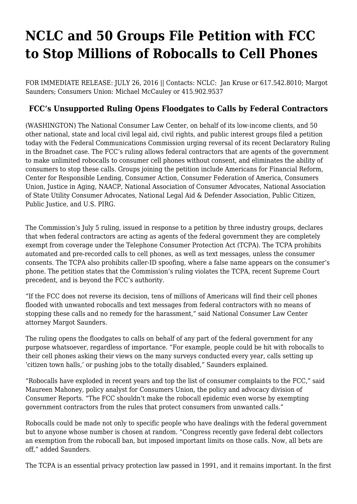## **[NCLC and 50 Groups File Petition with FCC](https://www.nclc.org/media-center/nclc-fifty-groups-file-petition-fcc-stop-millions-robocalls.html) [to Stop Millions of Robocalls to Cell Phones](https://www.nclc.org/media-center/nclc-fifty-groups-file-petition-fcc-stop-millions-robocalls.html)**

FOR IMMEDIATE RELEASE: JULY 26, 2016 || Contacts: NCLC: [Jan Kruse](mailto:jkruse@nclc.org) or 617.542.8010; [Margot](mailto:msaunders@nclc.org) [Saunders;](mailto:msaunders@nclc.org) Consumers Union: [Michael McCauley](mailto:mmccauley@consumer.org) or 415.902.9537

## **FCC's Unsupported Ruling Opens Floodgates to Calls by Federal Contractors**

(WASHINGTON) The National Consumer Law Center, on behalf of its low-income clients, and 50 other national, state and local civil legal aid, civil rights, and public interest groups [filed a petition](http://bit.ly/2a6JYiP) today with the Federal Communications Commission urging reversal of its [recent Declaratory Ruling](http://transition.fcc.gov/Daily_Releases/Daily_Business/2016/db0706/FCC-16-72A1.pdf) in the Broadnet case. The FCC's ruling allows federal contractors that are agents of the government to make unlimited robocalls to consumer cell phones without consent, and eliminates the ability of consumers to stop these calls. Groups joining the petition include Americans for Financial Reform, Center for Responsible Lending, Consumer Action, Consumer Federation of America, Consumers Union, Justice in Aging, NAACP, National Association of Consumer Advocates, National Association of State Utility Consumer Advocates, National Legal Aid & Defender Association, Public Citizen, Public Justice, and U.S. PIRG.

The Commission's July 5 ruling, issued in response to a petition by three industry groups, declares that when federal contractors are acting as agents of the federal government they are completely exempt from coverage under the Telephone Consumer Protection Act (TCPA). The TCPA prohibits automated and pre-recorded calls to cell phones, as well as text messages, unless the consumer consents. The TCPA also prohibits caller-ID spoofing, where a false name appears on the consumer's phone. The petition states that the Commission's ruling violates the TCPA, recent Supreme Court precedent, and is beyond the FCC's authority.

"If the FCC does not reverse its decision, tens of millions of Americans will find their cell phones flooded with unwanted robocalls and text messages from federal contractors with no means of stopping these calls and no remedy for the harassment," said National Consumer Law Center attorney Margot Saunders.

The ruling opens the floodgates to calls on behalf of any part of the federal government for any purpose whatsoever, regardless of importance. "For example, people could be hit with robocalls to their cell phones asking their views on the many surveys conducted every year, calls setting up 'citizen town halls,' or pushing jobs to the totally disabled," Saunders explained.

"Robocalls have exploded in recent years and top the list of consumer complaints to the FCC," said Maureen Mahoney, policy analyst for Consumers Union, the policy and advocacy division of Consumer Reports. "The FCC shouldn't make the robocall epidemic even worse by exempting government contractors from the rules that protect consumers from unwanted calls."

Robocalls could be made not only to specific people who have dealings with the federal government but to anyone whose number is chosen at random. "Congress recently gave federal debt collectors an exemption from the robocall ban, but imposed important limits on those calls. Now, all bets are off," added Saunders.

The TCPA is an essential privacy protection law passed in 1991, and it remains important. In the first